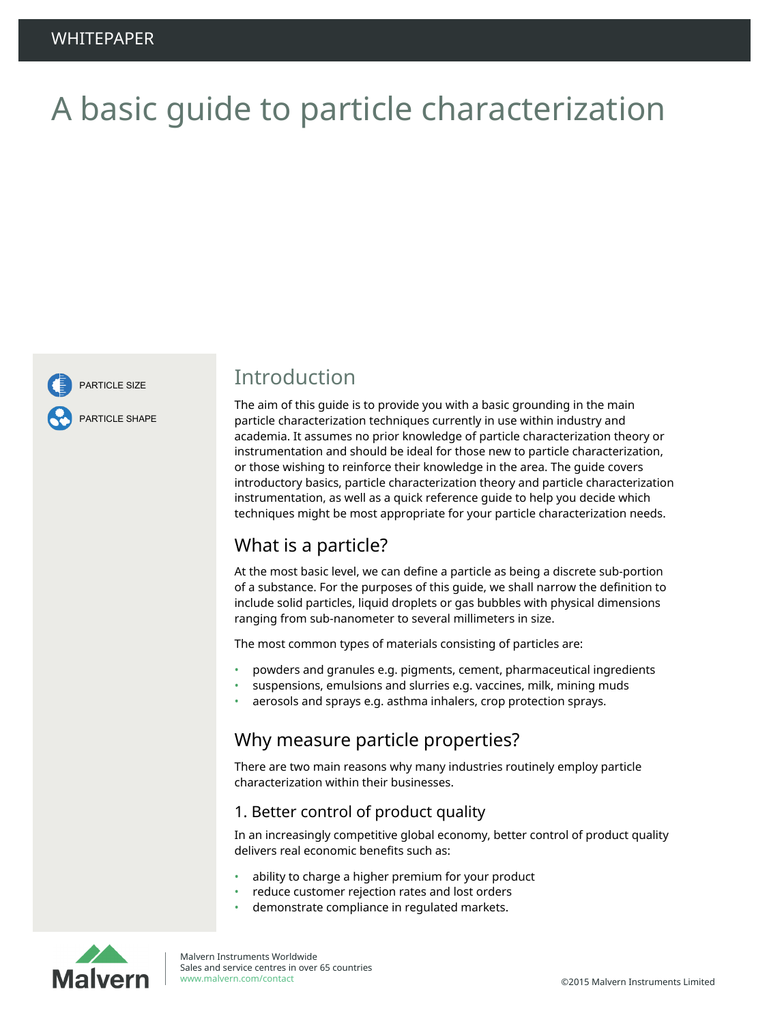# A basic guide to particle characterization

PARTICLE SIZE PARTICLE SHAPE

### Introduction

The aim of this guide is to provide you with a basic grounding in the main particle characterization techniques currently in use within industry and academia. It assumes no prior knowledge of particle characterization theory or instrumentation and should be ideal for those new to particle characterization, or those wishing to reinforce their knowledge in the area. The guide covers introductory basics, particle characterization theory and particle characterization instrumentation, as well as a quick reference guide to help you decide which techniques might be most appropriate for your particle characterization needs.

### What is a particle?

At the most basic level, we can define a particle as being a discrete sub-portion of a substance. For the purposes of this guide, we shall narrow the definition to include solid particles, liquid droplets or gas bubbles with physical dimensions ranging from sub-nanometer to several millimeters in size.

The most common types of materials consisting of particles are:

- powders and granules e.g. pigments, cement, pharmaceutical ingredients
- suspensions, emulsions and slurries e.g. vaccines, milk, mining muds
- aerosols and sprays e.g. asthma inhalers, crop protection sprays.

### Why measure particle properties?

There are two main reasons why many industries routinely employ particle characterization within their businesses.

#### 1. Better control of product quality

In an increasingly competitive global economy, better control of product quality delivers real economic benefits such as:

- ability to charge a higher premium for your product
- reduce customer rejection rates and lost orders
- demonstrate compliance in regulated markets.

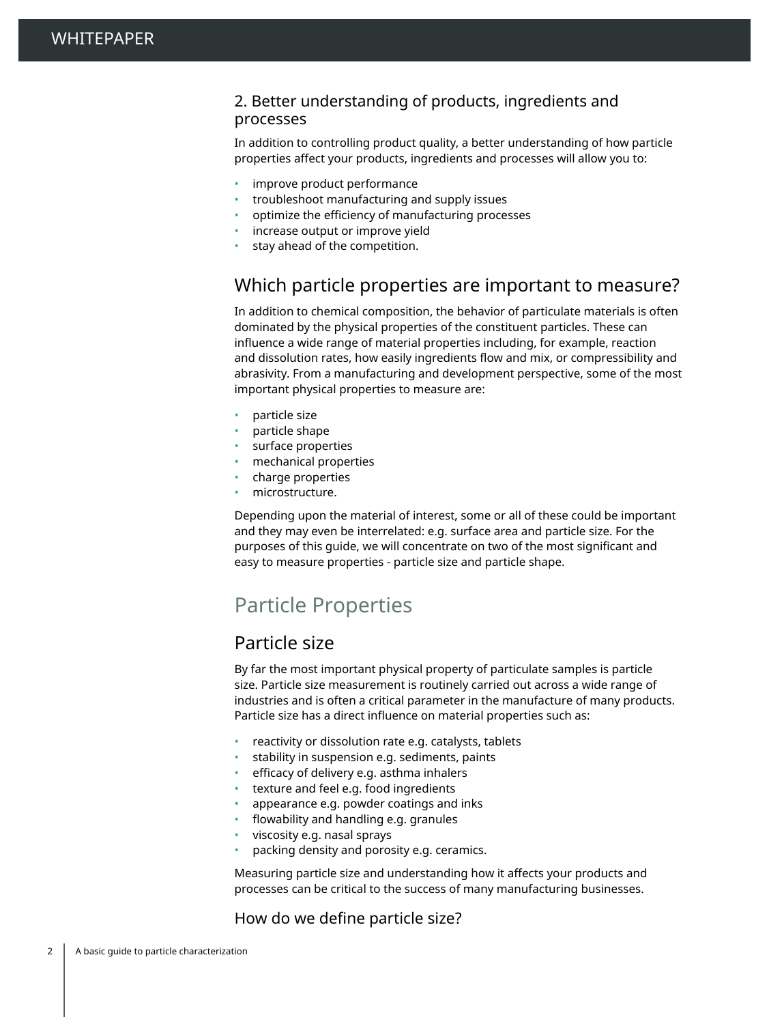#### 2. Better understanding of products, ingredients and processes

In addition to controlling product quality, a better understanding of how particle properties affect your products, ingredients and processes will allow you to:

- improve product performance
- troubleshoot manufacturing and supply issues
- optimize the efficiency of manufacturing processes
- increase output or improve yield
- stay ahead of the competition.

### Which particle properties are important to measure?

In addition to chemical composition, the behavior of particulate materials is often dominated by the physical properties of the constituent particles. These can influence a wide range of material properties including, for example, reaction and dissolution rates, how easily ingredients flow and mix, or compressibility and abrasivity. From a manufacturing and development perspective, some of the most important physical properties to measure are:

- particle size
- particle shape
- surface properties
- mechanical properties
- charge properties
- microstructure.

Depending upon the material of interest, some or all of these could be important and they may even be interrelated: e.g. surface area and particle size. For the purposes of this guide, we will concentrate on two of the most significant and easy to measure properties - particle size and particle shape.

### Particle Properties

### Particle size

By far the most important physical property of particulate samples is particle size. Particle size measurement is routinely carried out across a wide range of industries and is often a critical parameter in the manufacture of many products. Particle size has a direct influence on material properties such as:

- reactivity or dissolution rate e.g. catalysts, tablets
- stability in suspension e.g. sediments, paints
- efficacy of delivery e.g. asthma inhalers
- texture and feel e.g. food ingredients
- appearance e.g. powder coatings and inks
- flowability and handling e.g. granules
- viscosity e.g. nasal sprays
- packing density and porosity e.g. ceramics.

Measuring particle size and understanding how it affects your products and processes can be critical to the success of many manufacturing businesses.

#### How do we define particle size?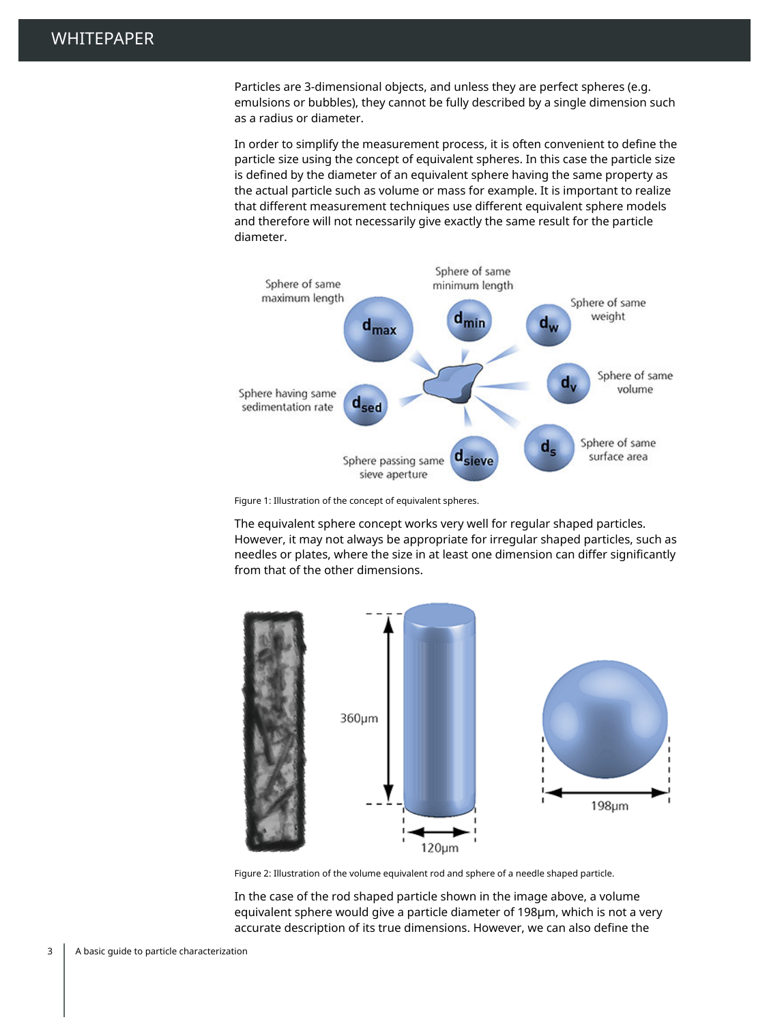Particles are 3-dimensional objects, and unless they are perfect spheres (e.g. emulsions or bubbles), they cannot be fully described by a single dimension such as a radius or diameter.

In order to simplify the measurement process, it is often convenient to define the particle size using the concept of equivalent spheres. In this case the particle size is defined by the diameter of an equivalent sphere having the same property as the actual particle such as volume or mass for example. It is important to realize that different measurement techniques use different equivalent sphere models and therefore will not necessarily give exactly the same result for the particle diameter.



Figure 1: Illustration of the concept of equivalent spheres.

The equivalent sphere concept works very well for regular shaped particles. However, it may not always be appropriate for irregular shaped particles, such as needles or plates, where the size in at least one dimension can differ significantly from that of the other dimensions.



Figure 2: Illustration of the volume equivalent rod and sphere of a needle shaped particle.

In the case of the rod shaped particle shown in the image above, a volume equivalent sphere would give a particle diameter of 198µm, which is not a very accurate description of its true dimensions. However, we can also define the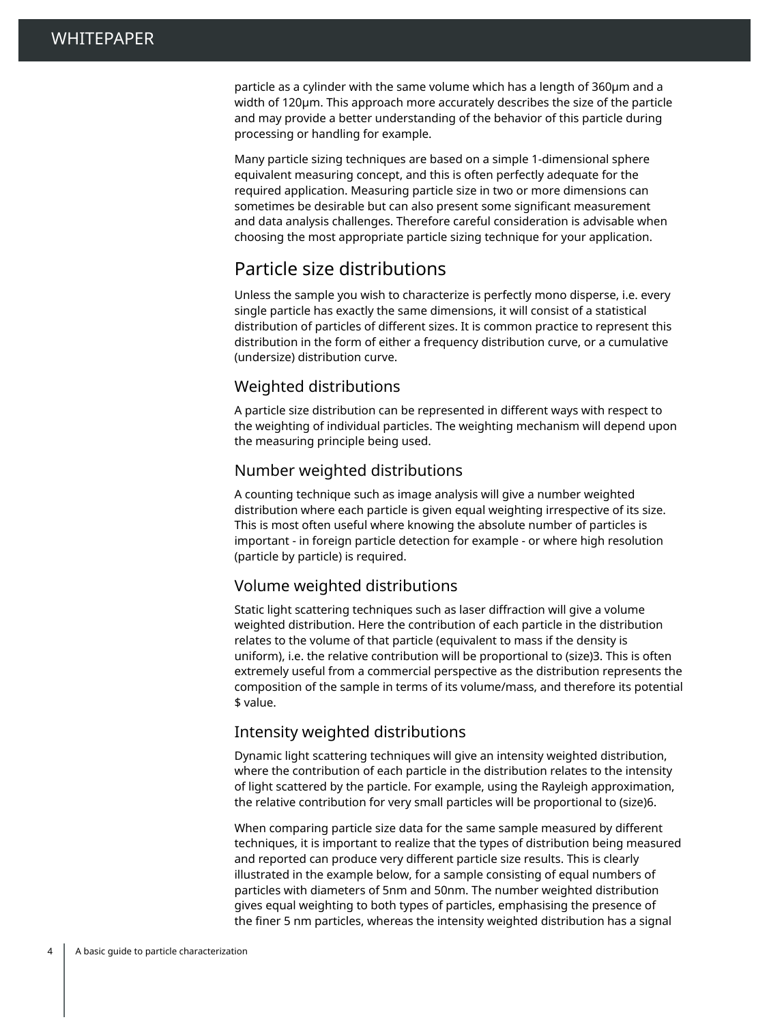particle as a cylinder with the same volume which has a length of 360µm and a width of 120µm. This approach more accurately describes the size of the particle and may provide a better understanding of the behavior of this particle during processing or handling for example.

Many particle sizing techniques are based on a simple 1-dimensional sphere equivalent measuring concept, and this is often perfectly adequate for the required application. Measuring particle size in two or more dimensions can sometimes be desirable but can also present some significant measurement and data analysis challenges. Therefore careful consideration is advisable when choosing the most appropriate particle sizing technique for your application.

### Particle size distributions

Unless the sample you wish to characterize is perfectly mono disperse, i.e. every single particle has exactly the same dimensions, it will consist of a statistical distribution of particles of different sizes. It is common practice to represent this distribution in the form of either a frequency distribution curve, or a cumulative (undersize) distribution curve.

#### Weighted distributions

A particle size distribution can be represented in different ways with respect to the weighting of individual particles. The weighting mechanism will depend upon the measuring principle being used.

#### Number weighted distributions

A counting technique such as image analysis will give a number weighted distribution where each particle is given equal weighting irrespective of its size. This is most often useful where knowing the absolute number of particles is important - in foreign particle detection for example - or where high resolution (particle by particle) is required.

#### Volume weighted distributions

Static light scattering techniques such as laser diffraction will give a volume weighted distribution. Here the contribution of each particle in the distribution relates to the volume of that particle (equivalent to mass if the density is uniform), i.e. the relative contribution will be proportional to (size)3. This is often extremely useful from a commercial perspective as the distribution represents the composition of the sample in terms of its volume/mass, and therefore its potential \$ value.

#### Intensity weighted distributions

Dynamic light scattering techniques will give an intensity weighted distribution, where the contribution of each particle in the distribution relates to the intensity of light scattered by the particle. For example, using the Rayleigh approximation, the relative contribution for very small particles will be proportional to (size)6.

When comparing particle size data for the same sample measured by different techniques, it is important to realize that the types of distribution being measured and reported can produce very different particle size results. This is clearly illustrated in the example below, for a sample consisting of equal numbers of particles with diameters of 5nm and 50nm. The number weighted distribution gives equal weighting to both types of particles, emphasising the presence of the finer 5 nm particles, whereas the intensity weighted distribution has a signal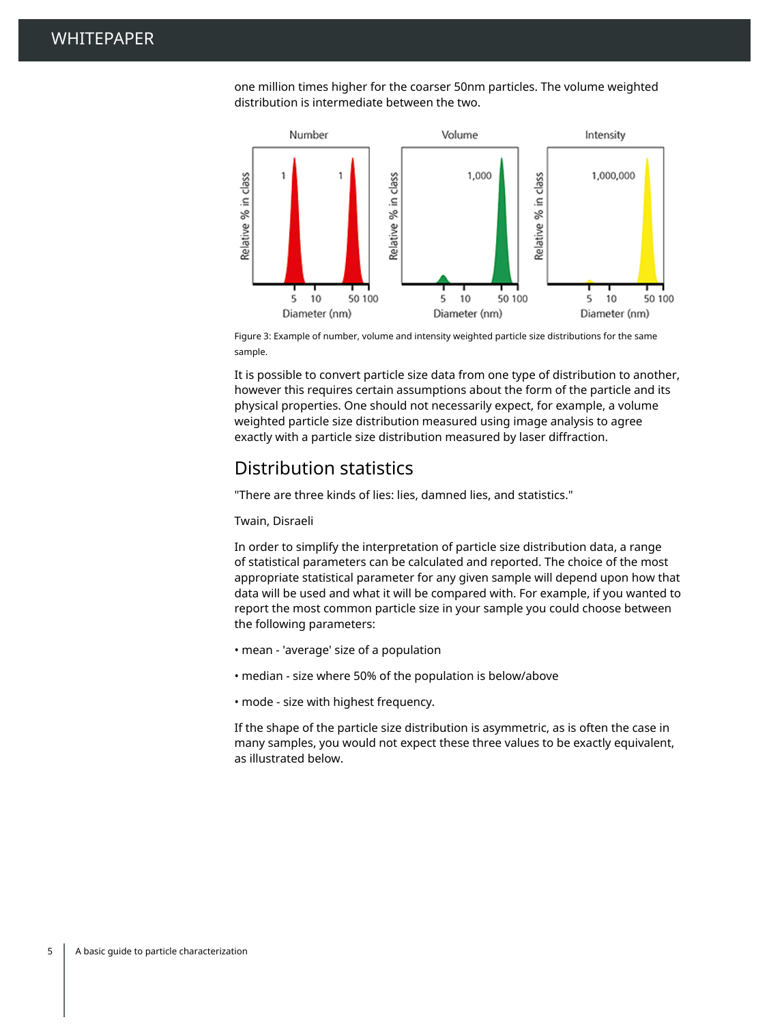one million times higher for the coarser 50nm particles. The volume weighted distribution is intermediate between the two.



Figure 3: Example of number, volume and intensity weighted particle size distributions for the same sample.

It is possible to convert particle size data from one type of distribution to another, however this requires certain assumptions about the form of the particle and its physical properties. One should not necessarily expect, for example, a volume weighted particle size distribution measured using image analysis to agree exactly with a particle size distribution measured by laser diffraction.

### Distribution statistics

"There are three kinds of lies: lies, damned lies, and statistics."

#### Twain, Disraeli

In order to simplify the interpretation of particle size distribution data, a range of statistical parameters can be calculated and reported. The choice of the most appropriate statistical parameter for any given sample will depend upon how that data will be used and what it will be compared with. For example, if you wanted to report the most common particle size in your sample you could choose between the following parameters:

- mean 'average' size of a population
- median size where 50% of the population is below/above
- mode size with highest frequency.

If the shape of the particle size distribution is asymmetric, as is often the case in many samples, you would not expect these three values to be exactly equivalent, as illustrated below.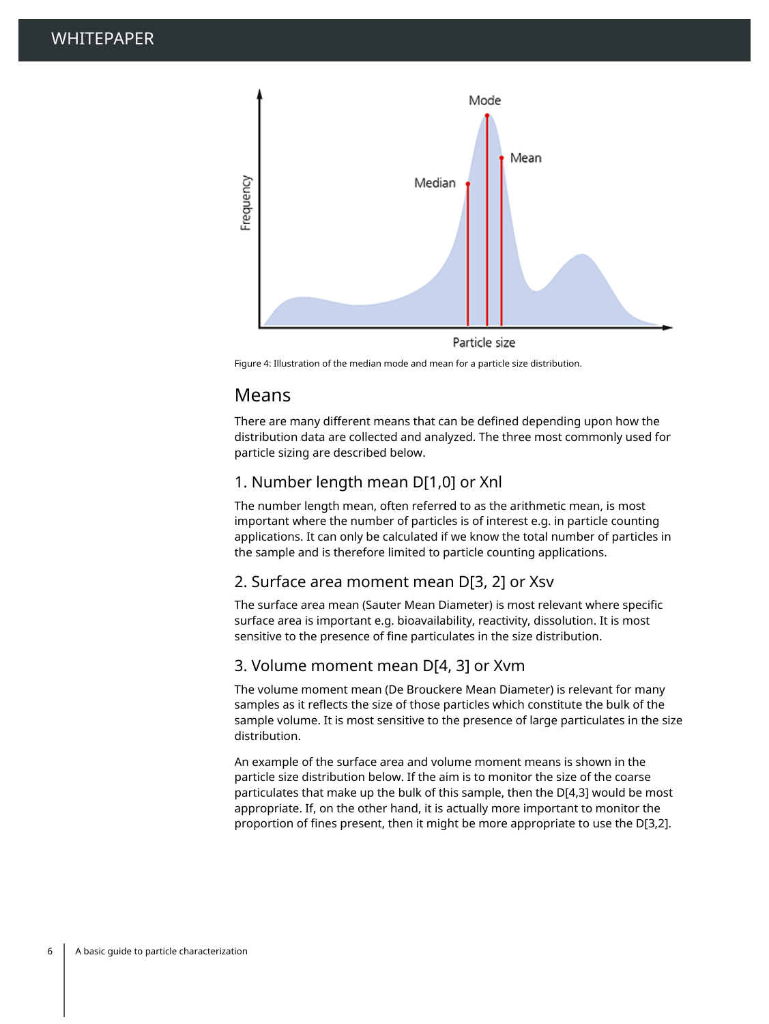

Figure 4: Illustration of the median mode and mean for a particle size distribution.

### Means

There are many different means that can be defined depending upon how the distribution data are collected and analyzed. The three most commonly used for particle sizing are described below.

#### 1. Number length mean D[1,0] or Xnl

The number length mean, often referred to as the arithmetic mean, is most important where the number of particles is of interest e.g. in particle counting applications. It can only be calculated if we know the total number of particles in the sample and is therefore limited to particle counting applications.

#### 2. Surface area moment mean D[3, 2] or Xsv

The surface area mean (Sauter Mean Diameter) is most relevant where specific surface area is important e.g. bioavailability, reactivity, dissolution. It is most sensitive to the presence of fine particulates in the size distribution.

### 3. Volume moment mean D[4, 3] or Xvm

The volume moment mean (De Brouckere Mean Diameter) is relevant for many samples as it reflects the size of those particles which constitute the bulk of the sample volume. It is most sensitive to the presence of large particulates in the size distribution.

An example of the surface area and volume moment means is shown in the particle size distribution below. If the aim is to monitor the size of the coarse particulates that make up the bulk of this sample, then the D[4,3] would be most appropriate. If, on the other hand, it is actually more important to monitor the proportion of fines present, then it might be more appropriate to use the D[3,2].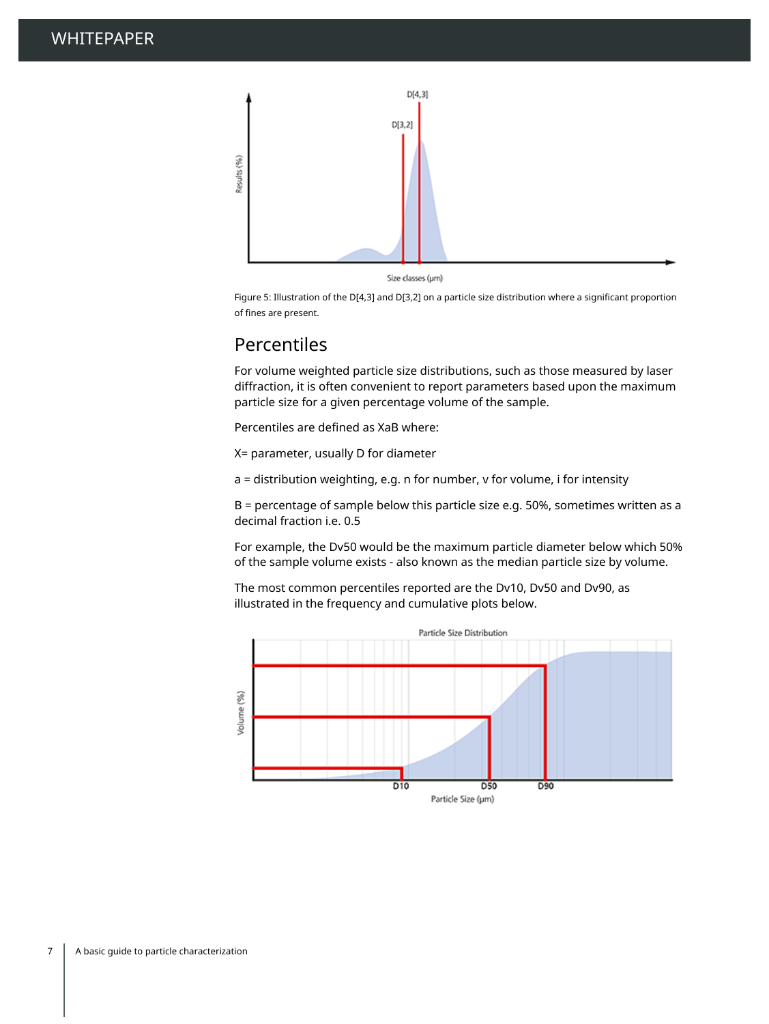

Size classes (µm)

Figure 5: Illustration of the D[4,3] and D[3,2] on a particle size distribution where a significant proportion of fines are present.

### Percentiles

For volume weighted particle size distributions, such as those measured by laser diffraction, it is often convenient to report parameters based upon the maximum particle size for a given percentage volume of the sample.

Percentiles are defined as XaB where:

X= parameter, usually D for diameter

a = distribution weighting, e.g. n for number, v for volume, i for intensity

B = percentage of sample below this particle size e.g. 50%, sometimes written as a decimal fraction i.e. 0.5

For example, the Dv50 would be the maximum particle diameter below which 50% of the sample volume exists - also known as the median particle size by volume.

The most common percentiles reported are the Dv10, Dv50 and Dv90, as illustrated in the frequency and cumulative plots below.

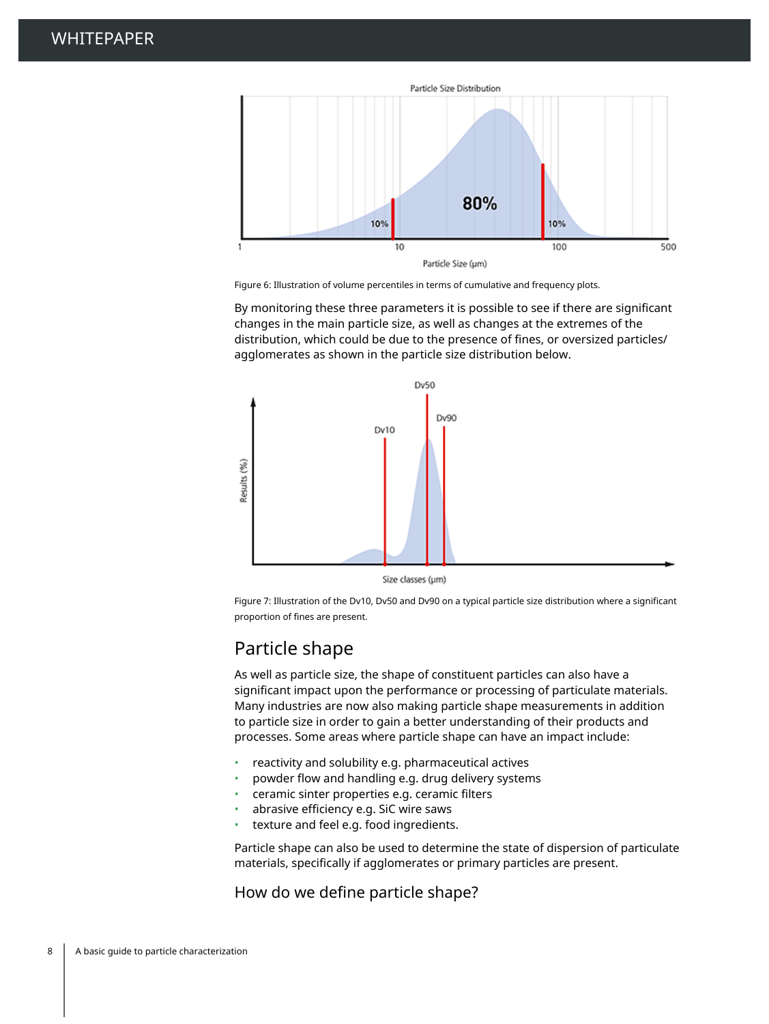

Figure 6: Illustration of volume percentiles in terms of cumulative and frequency plots.

By monitoring these three parameters it is possible to see if there are significant changes in the main particle size, as well as changes at the extremes of the distribution, which could be due to the presence of fines, or oversized particles/ agglomerates as shown in the particle size distribution below.



Size classes (µm)

Figure 7: Illustration of the Dv10, Dv50 and Dv90 on a typical particle size distribution where a significant proportion of fines are present.

### Particle shape

As well as particle size, the shape of constituent particles can also have a significant impact upon the performance or processing of particulate materials. Many industries are now also making particle shape measurements in addition to particle size in order to gain a better understanding of their products and processes. Some areas where particle shape can have an impact include:

- reactivity and solubility e.g. pharmaceutical actives
- powder flow and handling e.g. drug delivery systems
- ceramic sinter properties e.g. ceramic filters
- abrasive efficiency e.g. SiC wire saws
- texture and feel e.g. food ingredients.

Particle shape can also be used to determine the state of dispersion of particulate materials, specifically if agglomerates or primary particles are present.

#### How do we define particle shape?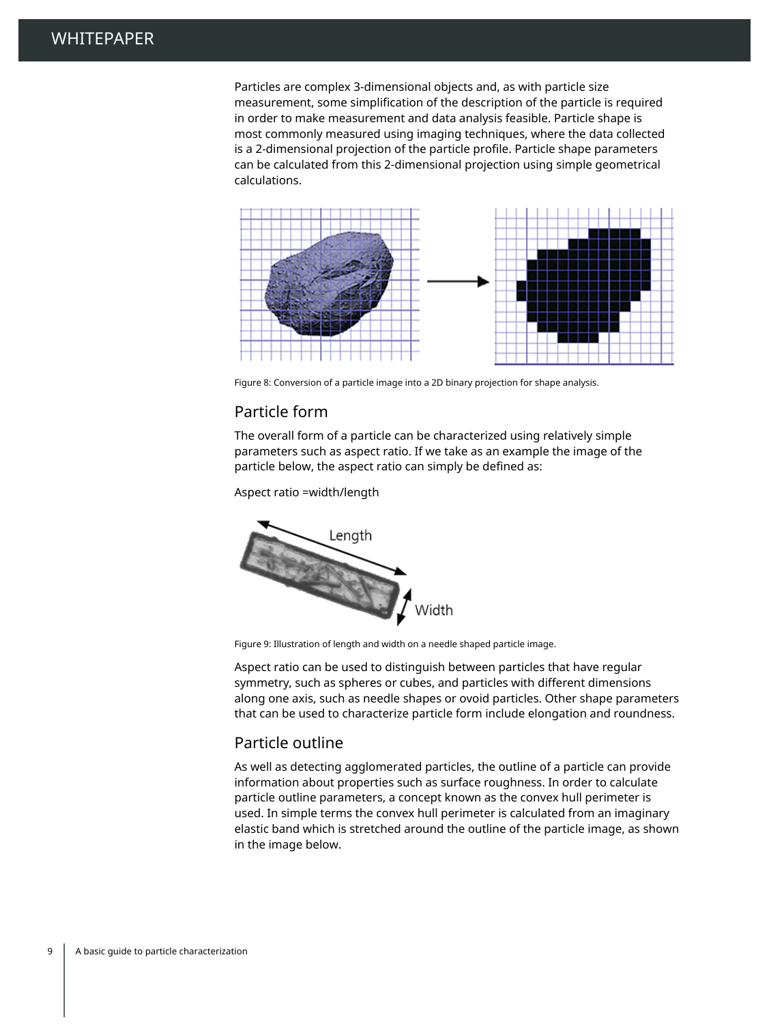Particles are complex 3-dimensional objects and, as with particle size measurement, some simplification of the description of the particle is required in order to make measurement and data analysis feasible. Particle shape is most commonly measured using imaging techniques, where the data collected is a 2-dimensional projection of the particle profile. Particle shape parameters can be calculated from this 2-dimensional projection using simple geometrical calculations.



Figure 8: Conversion of a particle image into a 2D binary projection for shape analysis.

#### Particle form

The overall form of a particle can be characterized using relatively simple parameters such as aspect ratio. If we take as an example the image of the particle below, the aspect ratio can simply be defined as:

Aspect ratio =width/length



Figure 9: Illustration of length and width on a needle shaped particle image.

Aspect ratio can be used to distinguish between particles that have regular symmetry, such as spheres or cubes, and particles with different dimensions along one axis, such as needle shapes or ovoid particles. Other shape parameters that can be used to characterize particle form include elongation and roundness.

#### Particle outline

As well as detecting agglomerated particles, the outline of a particle can provide information about properties such as surface roughness. In order to calculate particle outline parameters, a concept known as the convex hull perimeter is used. In simple terms the convex hull perimeter is calculated from an imaginary elastic band which is stretched around the outline of the particle image, as shown in the image below.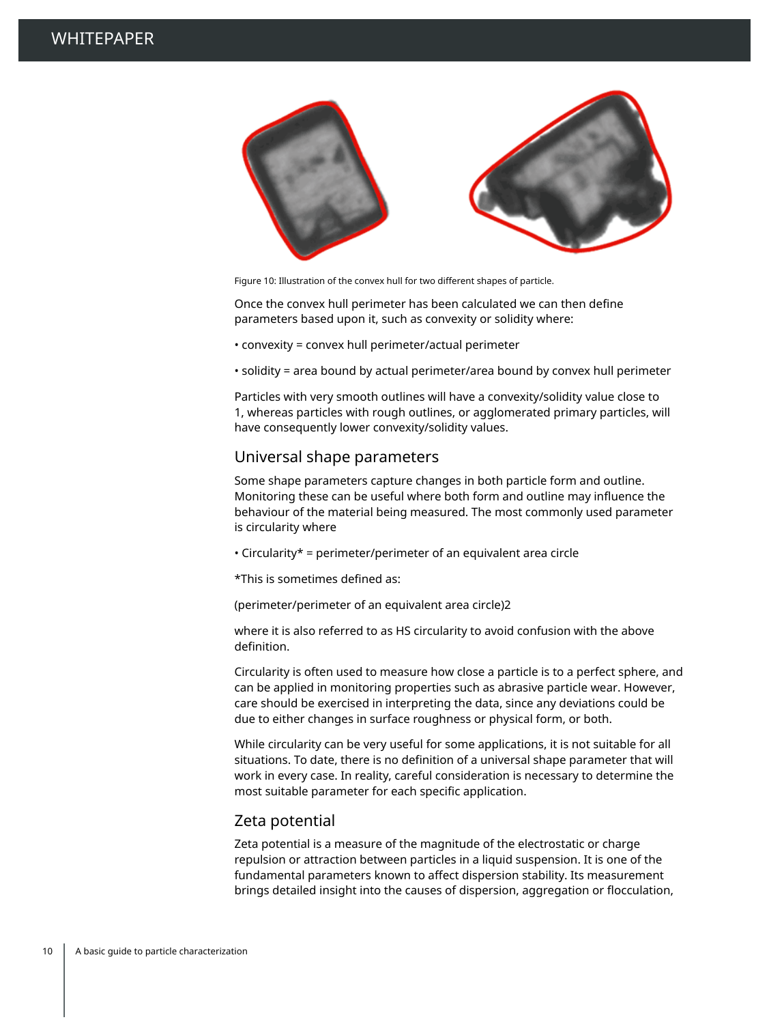

Figure 10: Illustration of the convex hull for two different shapes of particle.

Once the convex hull perimeter has been calculated we can then define parameters based upon it, such as convexity or solidity where:

- convexity = convex hull perimeter/actual perimeter
- solidity = area bound by actual perimeter/area bound by convex hull perimeter

Particles with very smooth outlines will have a convexity/solidity value close to 1, whereas particles with rough outlines, or agglomerated primary particles, will have consequently lower convexity/solidity values.

#### Universal shape parameters

Some shape parameters capture changes in both particle form and outline. Monitoring these can be useful where both form and outline may influence the behaviour of the material being measured. The most commonly used parameter is circularity where

- Circularity\* = perimeter/perimeter of an equivalent area circle
- \*This is sometimes defined as:
- (perimeter/perimeter of an equivalent area circle)2

where it is also referred to as HS circularity to avoid confusion with the above definition.

Circularity is often used to measure how close a particle is to a perfect sphere, and can be applied in monitoring properties such as abrasive particle wear. However, care should be exercised in interpreting the data, since any deviations could be due to either changes in surface roughness or physical form, or both.

While circularity can be very useful for some applications, it is not suitable for all situations. To date, there is no definition of a universal shape parameter that will work in every case. In reality, careful consideration is necessary to determine the most suitable parameter for each specific application.

#### Zeta potential

Zeta potential is a measure of the magnitude of the electrostatic or charge repulsion or attraction between particles in a liquid suspension. It is one of the fundamental parameters known to affect dispersion stability. Its measurement brings detailed insight into the causes of dispersion, aggregation or flocculation,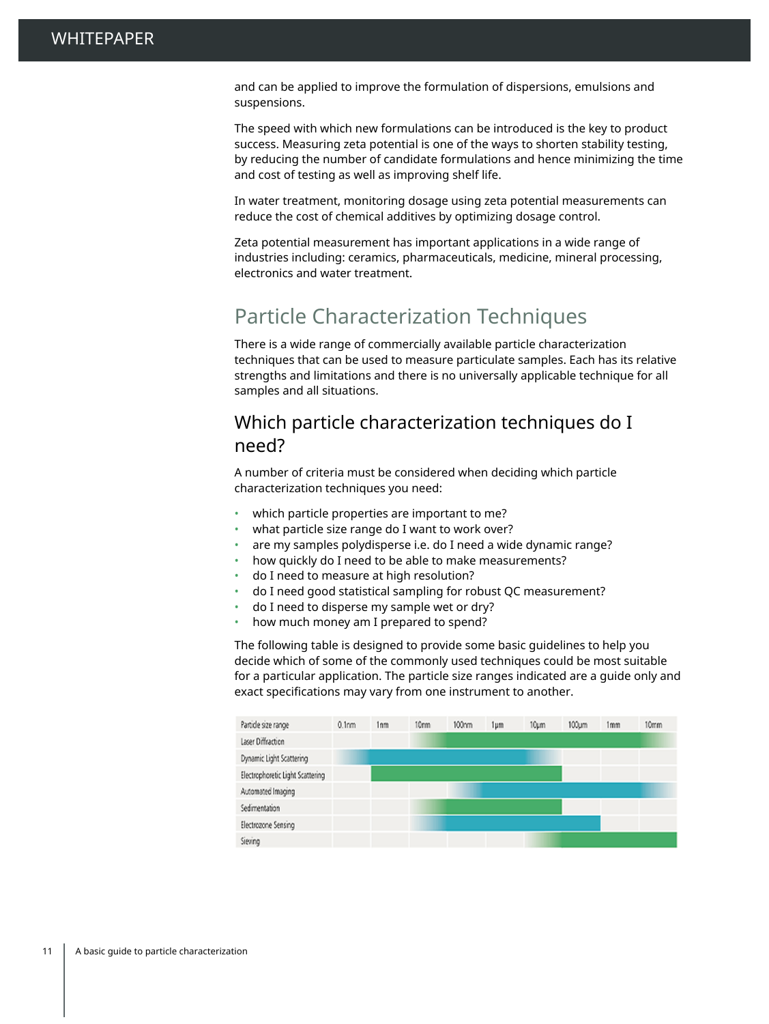and can be applied to improve the formulation of dispersions, emulsions and suspensions.

The speed with which new formulations can be introduced is the key to product success. Measuring zeta potential is one of the ways to shorten stability testing, by reducing the number of candidate formulations and hence minimizing the time and cost of testing as well as improving shelf life.

In water treatment, monitoring dosage using zeta potential measurements can reduce the cost of chemical additives by optimizing dosage control.

Zeta potential measurement has important applications in a wide range of industries including: ceramics, pharmaceuticals, medicine, mineral processing, electronics and water treatment.

### Particle Characterization Techniques

There is a wide range of commercially available particle characterization techniques that can be used to measure particulate samples. Each has its relative strengths and limitations and there is no universally applicable technique for all samples and all situations.

### Which particle characterization techniques do I need?

A number of criteria must be considered when deciding which particle characterization techniques you need:

- which particle properties are important to me?
- what particle size range do I want to work over?
- are my samples polydisperse i.e. do I need a wide dynamic range?
- how quickly do I need to be able to make measurements?
- do I need to measure at high resolution?
- do I need good statistical sampling for robust QC measurement?
- do I need to disperse my sample wet or dry?
- how much money am I prepared to spend?

The following table is designed to provide some basic guidelines to help you decide which of some of the commonly used techniques could be most suitable for a particular application. The particle size ranges indicated are a guide only and exact specifications may vary from one instrument to another.

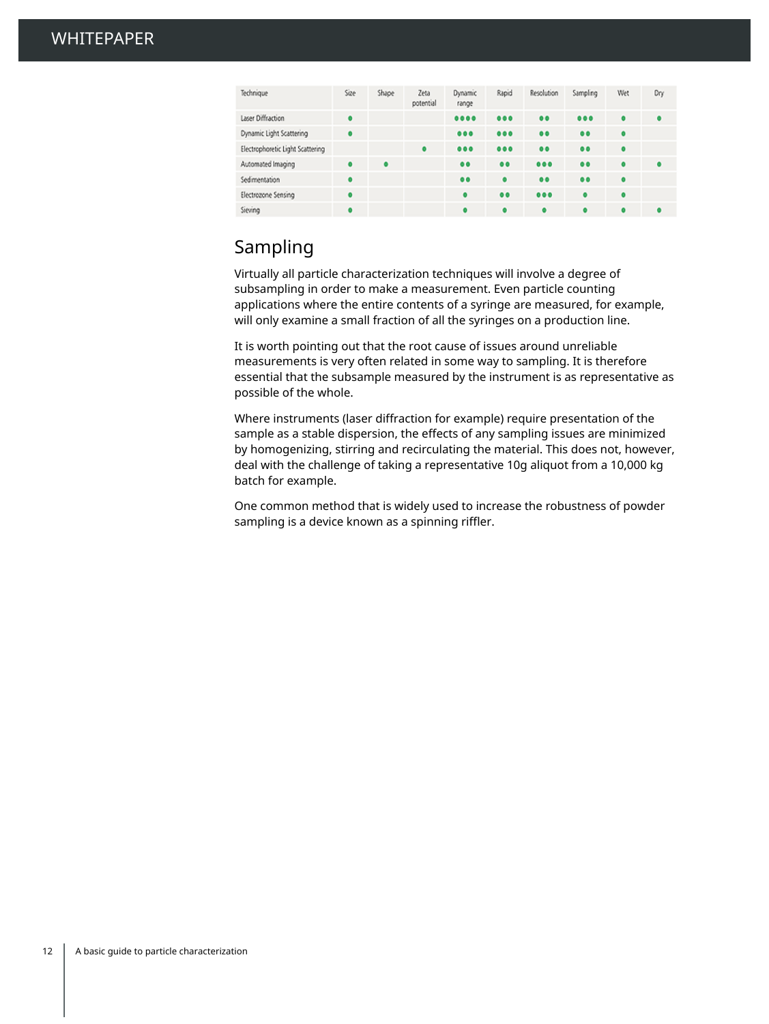| Technique                        | Size | Shape | Zeta<br>potential | <b>Dynamic</b><br>range | Rapid     | Resolution | Sampling  | Wet | Dry |
|----------------------------------|------|-------|-------------------|-------------------------|-----------|------------|-----------|-----|-----|
| Laser Diffraction                |      |       |                   | 0000                    | 000       | 00         | 000       | ٠   | ۰   |
| Dynamic Light Scattering         |      |       |                   | 000                     | 000       | $^{\circ}$ | 00        | ٠   |     |
| Electrophoretic Light Scattering |      |       | ۰                 | 000                     | 000       | $\bullet$  | $\bullet$ | ٠   |     |
| Automated Imaging                |      |       |                   | $\bullet$               | $\bullet$ | 000        | $\bullet$ | ٠   |     |
| Sedimentation                    |      |       |                   | $^{0}$                  | ۰         | $\bullet$  | 00        | ۰   |     |
| Electrozone Sensing              |      |       |                   | ۰                       | 00        | 000        | ۰         | ۰   |     |
| Sieving                          |      |       |                   | ۰                       | ۰         | ٠          | ٠         | ٠   |     |

### Sampling

Virtually all particle characterization techniques will involve a degree of subsampling in order to make a measurement. Even particle counting applications where the entire contents of a syringe are measured, for example, will only examine a small fraction of all the syringes on a production line.

It is worth pointing out that the root cause of issues around unreliable measurements is very often related in some way to sampling. It is therefore essential that the subsample measured by the instrument is as representative as possible of the whole.

Where instruments (laser diffraction for example) require presentation of the sample as a stable dispersion, the effects of any sampling issues are minimized by homogenizing, stirring and recirculating the material. This does not, however, deal with the challenge of taking a representative 10g aliquot from a 10,000 kg batch for example.

One common method that is widely used to increase the robustness of powder sampling is a device known as a spinning riffler.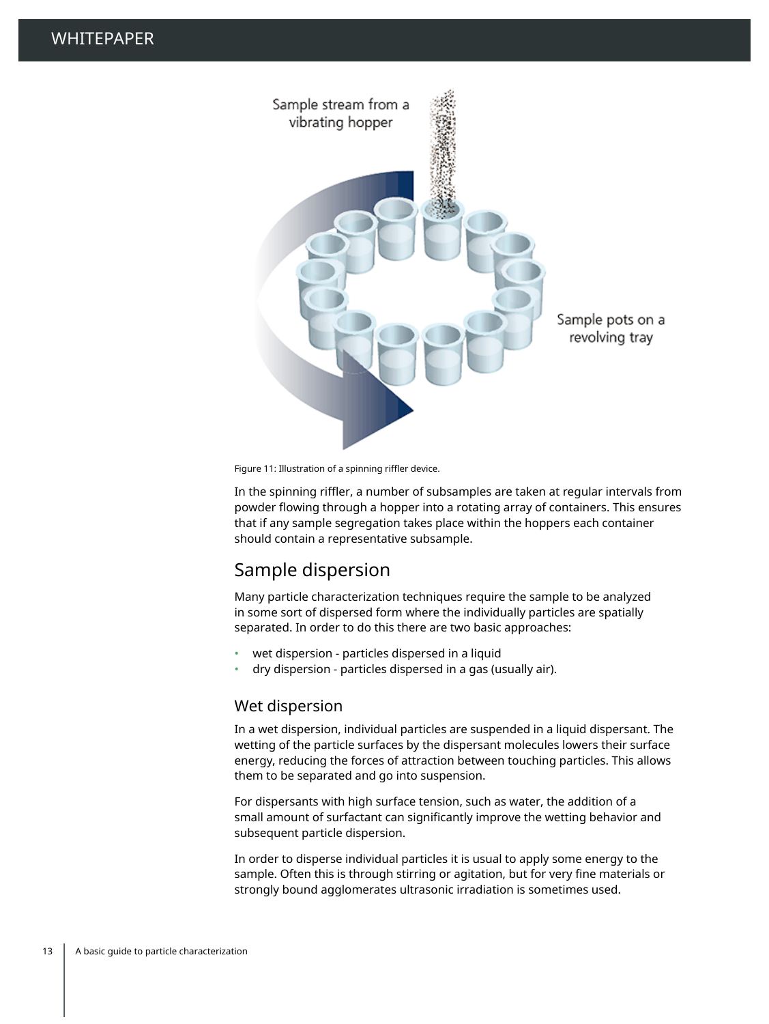

Figure 11: Illustration of a spinning riffler device.

In the spinning riffler, a number of subsamples are taken at regular intervals from powder flowing through a hopper into a rotating array of containers. This ensures that if any sample segregation takes place within the hoppers each container should contain a representative subsample.

### Sample dispersion

Many particle characterization techniques require the sample to be analyzed in some sort of dispersed form where the individually particles are spatially separated. In order to do this there are two basic approaches:

- wet dispersion particles dispersed in a liquid
- dry dispersion particles dispersed in a gas (usually air).

#### Wet dispersion

In a wet dispersion, individual particles are suspended in a liquid dispersant. The wetting of the particle surfaces by the dispersant molecules lowers their surface energy, reducing the forces of attraction between touching particles. This allows them to be separated and go into suspension.

For dispersants with high surface tension, such as water, the addition of a small amount of surfactant can significantly improve the wetting behavior and subsequent particle dispersion.

In order to disperse individual particles it is usual to apply some energy to the sample. Often this is through stirring or agitation, but for very fine materials or strongly bound agglomerates ultrasonic irradiation is sometimes used.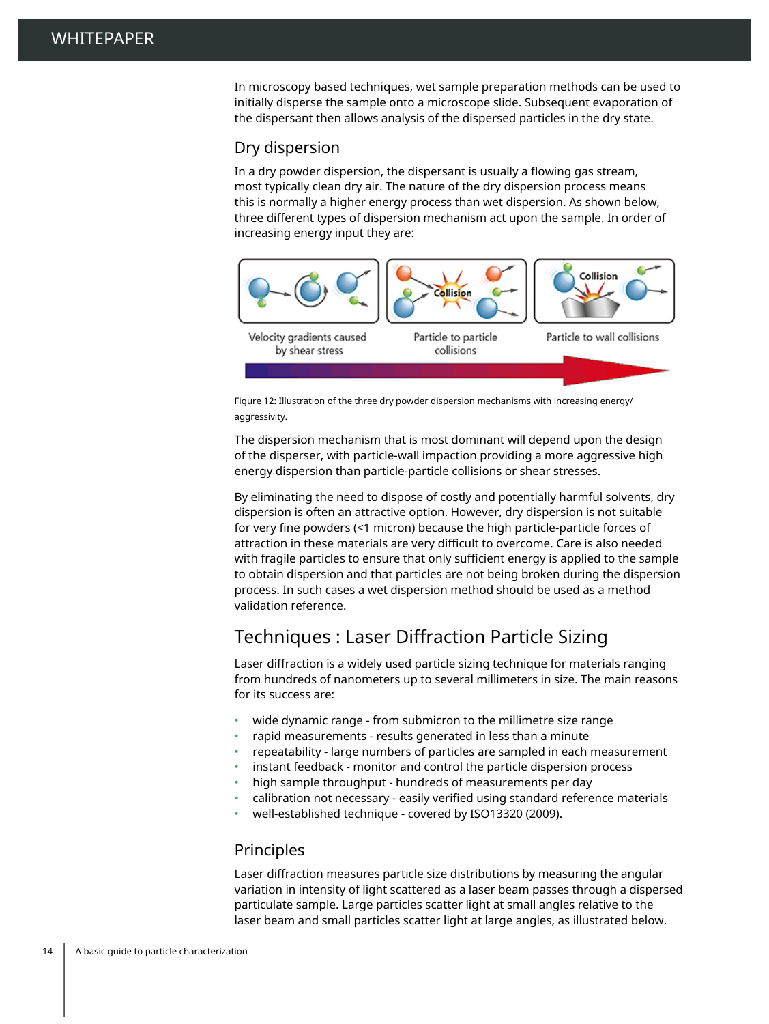In microscopy based techniques, wet sample preparation methods can be used to initially disperse the sample onto a microscope slide. Subsequent evaporation of the dispersant then allows analysis of the dispersed particles in the dry state.

#### Dry dispersion

In a dry powder dispersion, the dispersant is usually a flowing gas stream, most typically clean dry air. The nature of the dry dispersion process means this is normally a higher energy process than wet dispersion. As shown below, three different types of dispersion mechanism act upon the sample. In order of increasing energy input they are:



Figure 12: Illustration of the three dry powder dispersion mechanisms with increasing energy/ aggressivity.

The dispersion mechanism that is most dominant will depend upon the design of the disperser, with particle-wall impaction providing a more aggressive high energy dispersion than particle-particle collisions or shear stresses.

By eliminating the need to dispose of costly and potentially harmful solvents, dry dispersion is often an attractive option. However, dry dispersion is not suitable for very fine powders (<1 micron) because the high particle-particle forces of attraction in these materials are very difficult to overcome. Care is also needed with fragile particles to ensure that only sufficient energy is applied to the sample to obtain dispersion and that particles are not being broken during the dispersion process. In such cases a wet dispersion method should be used as a method validation reference.

### Techniques : Laser Diffraction Particle Sizing

Laser diffraction is a widely used particle sizing technique for materials ranging from hundreds of nanometers up to several millimeters in size. The main reasons for its success are:

- wide dynamic range from submicron to the millimetre size range
- rapid measurements results generated in less than a minute
- repeatability large numbers of particles are sampled in each measurement
- instant feedback monitor and control the particle dispersion process
- high sample throughput hundreds of measurements per day
- calibration not necessary easily verified using standard reference materials
- well-established technique covered by ISO13320 (2009).

#### Principles

Laser diffraction measures particle size distributions by measuring the angular variation in intensity of light scattered as a laser beam passes through a dispersed particulate sample. Large particles scatter light at small angles relative to the laser beam and small particles scatter light at large angles, as illustrated below.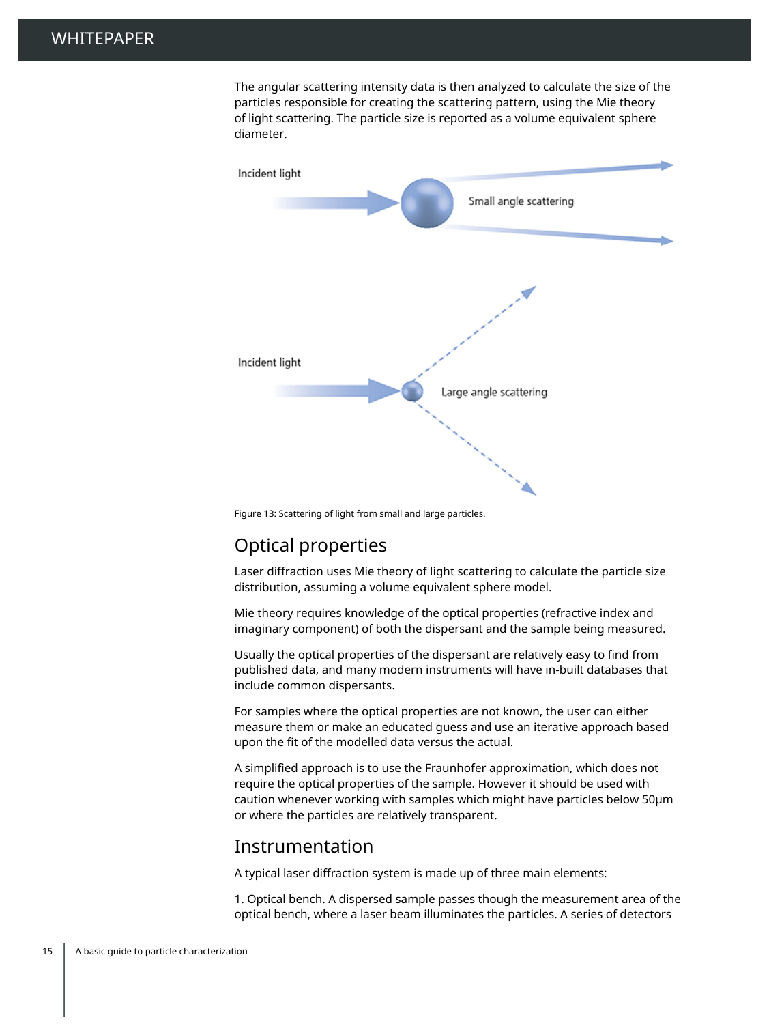The angular scattering intensity data is then analyzed to calculate the size of the particles responsible for creating the scattering pattern, using the Mie theory of light scattering. The particle size is reported as a volume equivalent sphere diameter.



Figure 13: Scattering of light from small and large particles.

### Optical properties

Laser diffraction uses Mie theory of light scattering to calculate the particle size distribution, assuming a volume equivalent sphere model.

Mie theory requires knowledge of the optical properties (refractive index and imaginary component) of both the dispersant and the sample being measured.

Usually the optical properties of the dispersant are relatively easy to find from published data, and many modern instruments will have in-built databases that include common dispersants.

For samples where the optical properties are not known, the user can either measure them or make an educated guess and use an iterative approach based upon the fit of the modelled data versus the actual.

A simplified approach is to use the Fraunhofer approximation, which does not require the optical properties of the sample. However it should be used with caution whenever working with samples which might have particles below 50µm or where the particles are relatively transparent.

#### Instrumentation

A typical laser diffraction system is made up of three main elements:

1. Optical bench. A dispersed sample passes though the measurement area of the optical bench, where a laser beam illuminates the particles. A series of detectors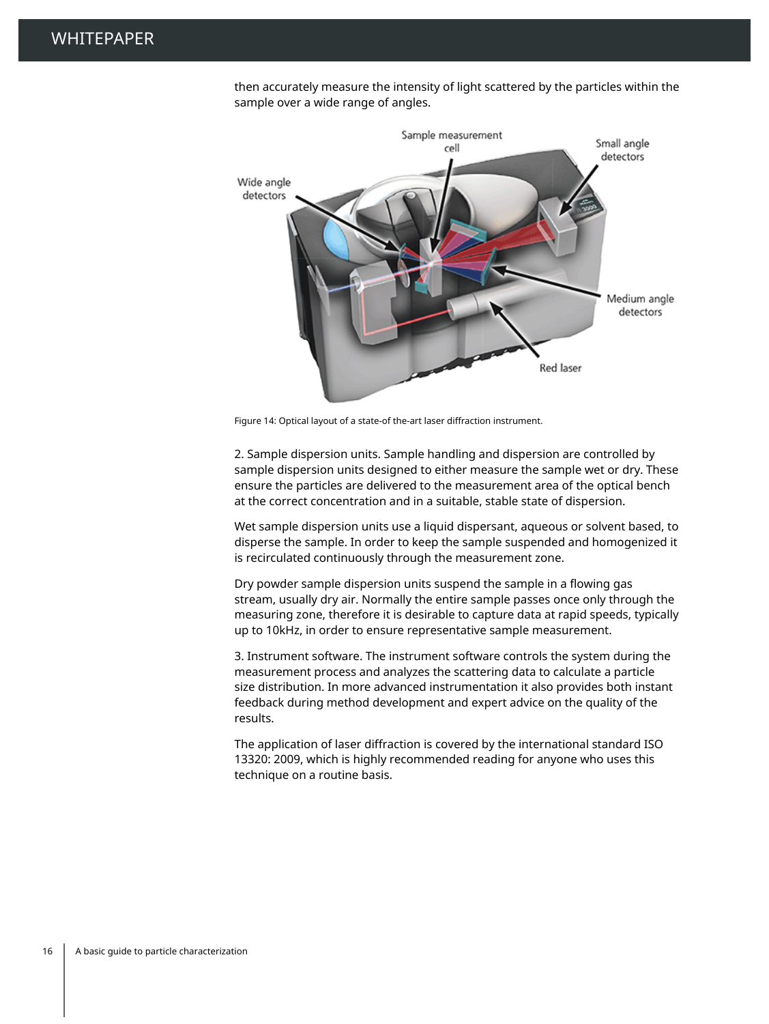

then accurately measure the intensity of light scattered by the particles within the sample over a wide range of angles.

Figure 14: Optical layout of a state-of the-art laser diffraction instrument.

2. Sample dispersion units. Sample handling and dispersion are controlled by sample dispersion units designed to either measure the sample wet or dry. These ensure the particles are delivered to the measurement area of the optical bench at the correct concentration and in a suitable, stable state of dispersion.

Wet sample dispersion units use a liquid dispersant, aqueous or solvent based, to disperse the sample. In order to keep the sample suspended and homogenized it is recirculated continuously through the measurement zone.

Dry powder sample dispersion units suspend the sample in a flowing gas stream, usually dry air. Normally the entire sample passes once only through the measuring zone, therefore it is desirable to capture data at rapid speeds, typically up to 10kHz, in order to ensure representative sample measurement.

3. Instrument software. The instrument software controls the system during the measurement process and analyzes the scattering data to calculate a particle size distribution. In more advanced instrumentation it also provides both instant feedback during method development and expert advice on the quality of the results.

The application of laser diffraction is covered by the international standard ISO 13320: 2009, which is highly recommended reading for anyone who uses this technique on a routine basis.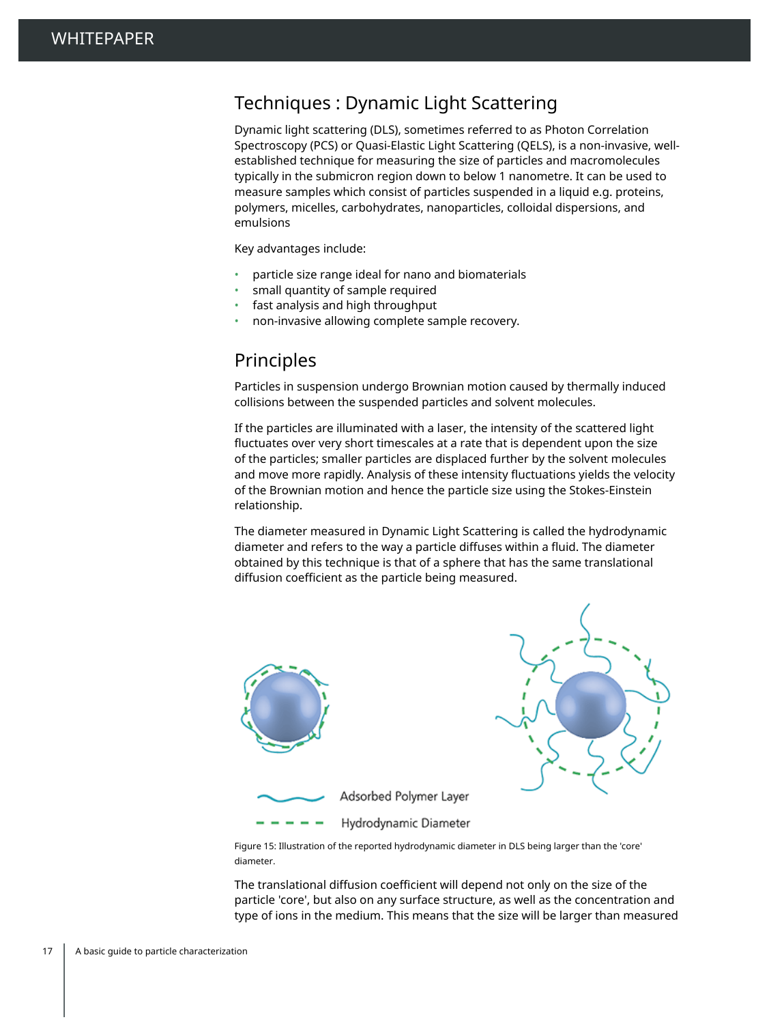### Techniques : Dynamic Light Scattering

Dynamic light scattering (DLS), sometimes referred to as Photon Correlation Spectroscopy (PCS) or Quasi-Elastic Light Scattering (QELS), is a non-invasive, wellestablished technique for measuring the size of particles and macromolecules typically in the submicron region down to below 1 nanometre. It can be used to measure samples which consist of particles suspended in a liquid e.g. proteins, polymers, micelles, carbohydrates, nanoparticles, colloidal dispersions, and emulsions

Key advantages include:

- particle size range ideal for nano and biomaterials
- small quantity of sample required
- fast analysis and high throughput
- non-invasive allowing complete sample recovery.

### Principles

Particles in suspension undergo Brownian motion caused by thermally induced collisions between the suspended particles and solvent molecules.

If the particles are illuminated with a laser, the intensity of the scattered light fluctuates over very short timescales at a rate that is dependent upon the size of the particles; smaller particles are displaced further by the solvent molecules and move more rapidly. Analysis of these intensity fluctuations yields the velocity of the Brownian motion and hence the particle size using the Stokes-Einstein relationship.

The diameter measured in Dynamic Light Scattering is called the hydrodynamic diameter and refers to the way a particle diffuses within a fluid. The diameter obtained by this technique is that of a sphere that has the same translational diffusion coefficient as the particle being measured.





Adsorbed Polymer Layer

Hydrodynamic Diameter

Figure 15: Illustration of the reported hydrodynamic diameter in DLS being larger than the 'core' diameter.

The translational diffusion coefficient will depend not only on the size of the particle 'core', but also on any surface structure, as well as the concentration and type of ions in the medium. This means that the size will be larger than measured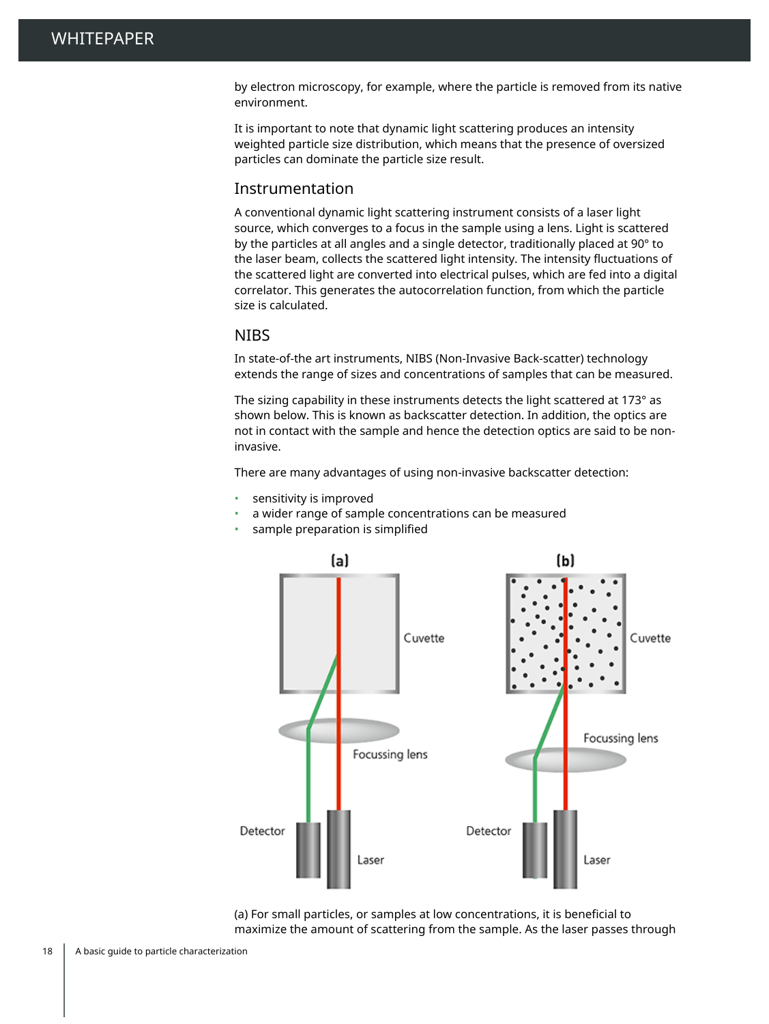by electron microscopy, for example, where the particle is removed from its native environment.

It is important to note that dynamic light scattering produces an intensity weighted particle size distribution, which means that the presence of oversized particles can dominate the particle size result.

#### Instrumentation

A conventional dynamic light scattering instrument consists of a laser light source, which converges to a focus in the sample using a lens. Light is scattered by the particles at all angles and a single detector, traditionally placed at 90° to the laser beam, collects the scattered light intensity. The intensity fluctuations of the scattered light are converted into electrical pulses, which are fed into a digital correlator. This generates the autocorrelation function, from which the particle size is calculated.

#### **NIBS**

In state-of-the art instruments, NIBS (Non-Invasive Back-scatter) technology extends the range of sizes and concentrations of samples that can be measured.

The sizing capability in these instruments detects the light scattered at 173° as shown below. This is known as backscatter detection. In addition, the optics are not in contact with the sample and hence the detection optics are said to be noninvasive.

There are many advantages of using non-invasive backscatter detection:

- sensitivity is improved
- a wider range of sample concentrations can be measured
- sample preparation is simplified



(a) For small particles, or samples at low concentrations, it is beneficial to maximize the amount of scattering from the sample. As the laser passes through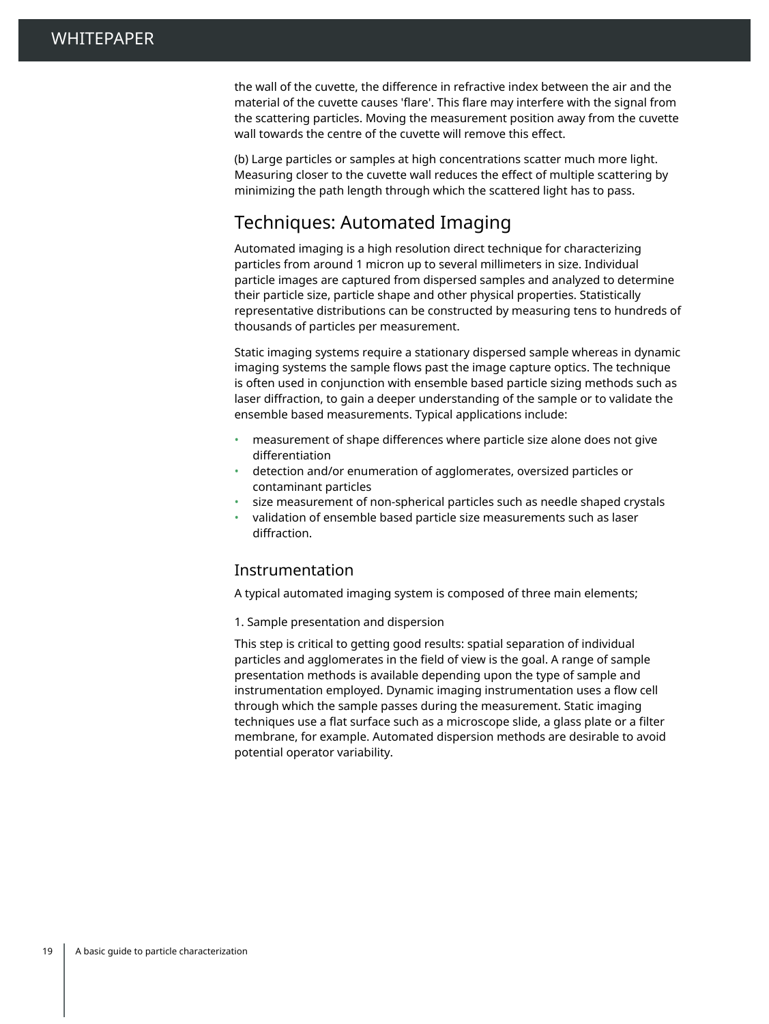the wall of the cuvette, the difference in refractive index between the air and the material of the cuvette causes 'flare'. This flare may interfere with the signal from the scattering particles. Moving the measurement position away from the cuvette wall towards the centre of the cuvette will remove this effect.

(b) Large particles or samples at high concentrations scatter much more light. Measuring closer to the cuvette wall reduces the effect of multiple scattering by minimizing the path length through which the scattered light has to pass.

### Techniques: Automated Imaging

Automated imaging is a high resolution direct technique for characterizing particles from around 1 micron up to several millimeters in size. Individual particle images are captured from dispersed samples and analyzed to determine their particle size, particle shape and other physical properties. Statistically representative distributions can be constructed by measuring tens to hundreds of thousands of particles per measurement.

Static imaging systems require a stationary dispersed sample whereas in dynamic imaging systems the sample flows past the image capture optics. The technique is often used in conjunction with ensemble based particle sizing methods such as laser diffraction, to gain a deeper understanding of the sample or to validate the ensemble based measurements. Typical applications include:

- measurement of shape differences where particle size alone does not give differentiation
- detection and/or enumeration of agglomerates, oversized particles or contaminant particles
- size measurement of non-spherical particles such as needle shaped crystals
- validation of ensemble based particle size measurements such as laser diffraction.

#### Instrumentation

A typical automated imaging system is composed of three main elements;

1. Sample presentation and dispersion

This step is critical to getting good results: spatial separation of individual particles and agglomerates in the field of view is the goal. A range of sample presentation methods is available depending upon the type of sample and instrumentation employed. Dynamic imaging instrumentation uses a flow cell through which the sample passes during the measurement. Static imaging techniques use a flat surface such as a microscope slide, a glass plate or a filter membrane, for example. Automated dispersion methods are desirable to avoid potential operator variability.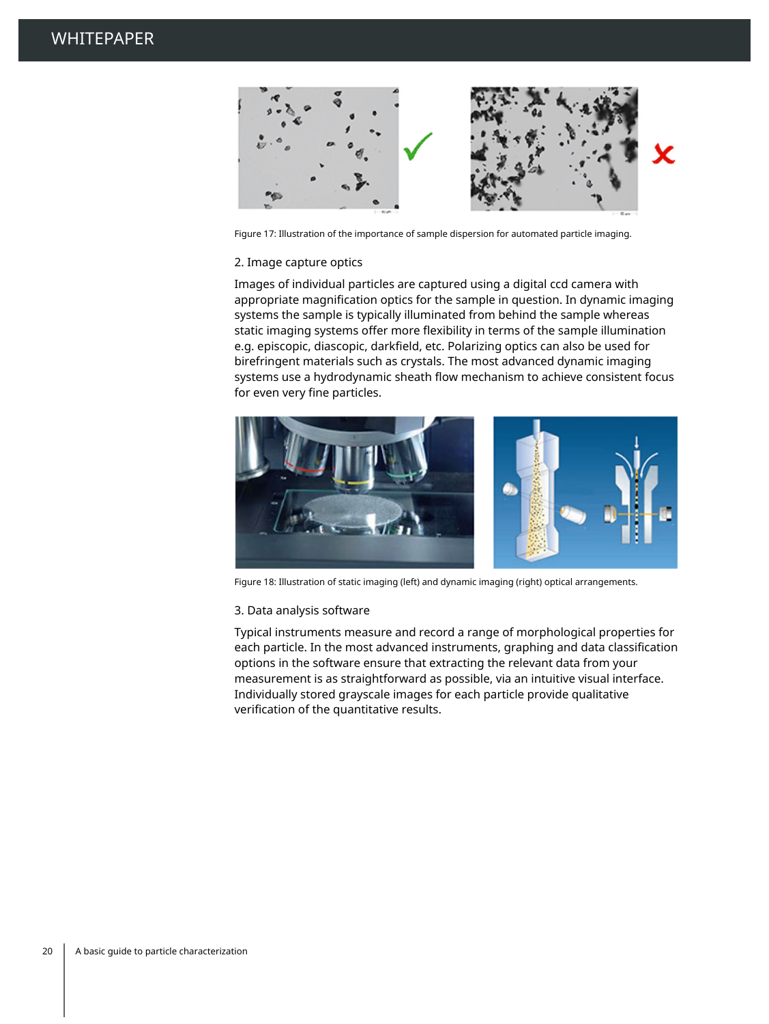

Figure 17: Illustration of the importance of sample dispersion for automated particle imaging.

#### 2. Image capture optics

Images of individual particles are captured using a digital ccd camera with appropriate magnification optics for the sample in question. In dynamic imaging systems the sample is typically illuminated from behind the sample whereas static imaging systems offer more flexibility in terms of the sample illumination e.g. episcopic, diascopic, darkfield, etc. Polarizing optics can also be used for birefringent materials such as crystals. The most advanced dynamic imaging systems use a hydrodynamic sheath flow mechanism to achieve consistent focus for even very fine particles.



Figure 18: Illustration of static imaging (left) and dynamic imaging (right) optical arrangements.

#### 3. Data analysis software

Typical instruments measure and record a range of morphological properties for each particle. In the most advanced instruments, graphing and data classification options in the software ensure that extracting the relevant data from your measurement is as straightforward as possible, via an intuitive visual interface. Individually stored grayscale images for each particle provide qualitative verification of the quantitative results.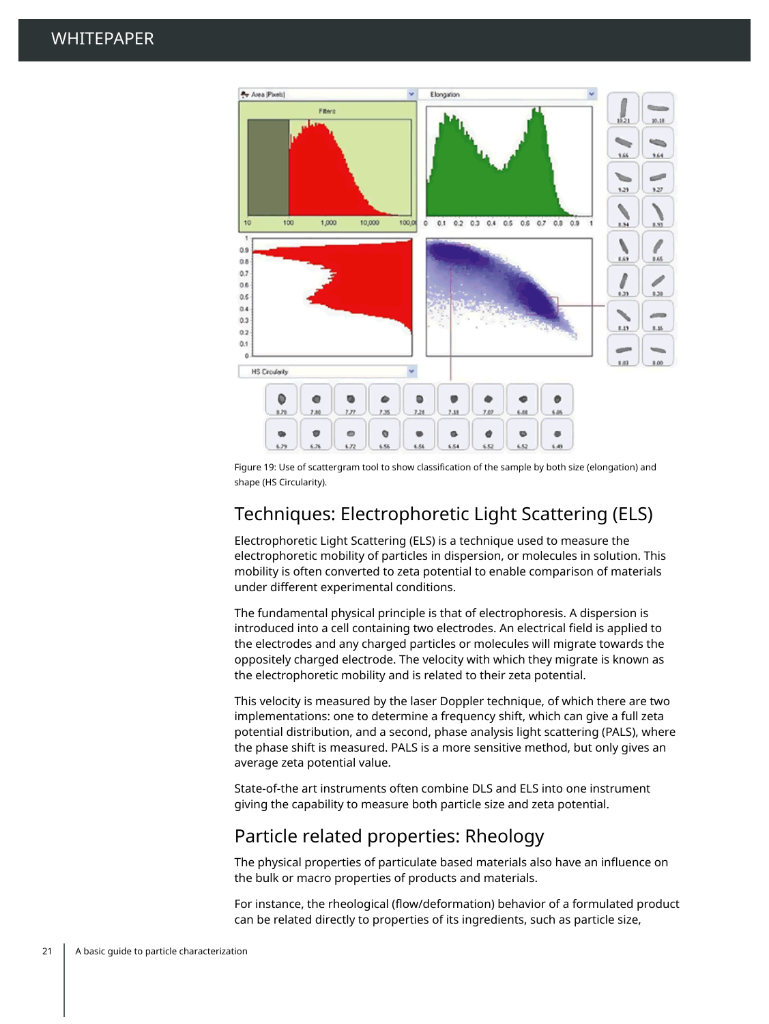

Figure 19: Use of scattergram tool to show classification of the sample by both size (elongation) and shape (HS Circularity).

### Techniques: Electrophoretic Light Scattering (ELS)

Electrophoretic Light Scattering (ELS) is a technique used to measure the electrophoretic mobility of particles in dispersion, or molecules in solution. This mobility is often converted to zeta potential to enable comparison of materials under different experimental conditions.

The fundamental physical principle is that of electrophoresis. A dispersion is introduced into a cell containing two electrodes. An electrical field is applied to the electrodes and any charged particles or molecules will migrate towards the oppositely charged electrode. The velocity with which they migrate is known as the electrophoretic mobility and is related to their zeta potential.

This velocity is measured by the laser Doppler technique, of which there are two implementations: one to determine a frequency shift, which can give a full zeta potential distribution, and a second, phase analysis light scattering (PALS), where the phase shift is measured. PALS is a more sensitive method, but only gives an average zeta potential value.

State-of-the art instruments often combine DLS and ELS into one instrument giving the capability to measure both particle size and zeta potential.

### Particle related properties: Rheology

The physical properties of particulate based materials also have an influence on the bulk or macro properties of products and materials.

For instance, the rheological (flow/deformation) behavior of a formulated product can be related directly to properties of its ingredients, such as particle size,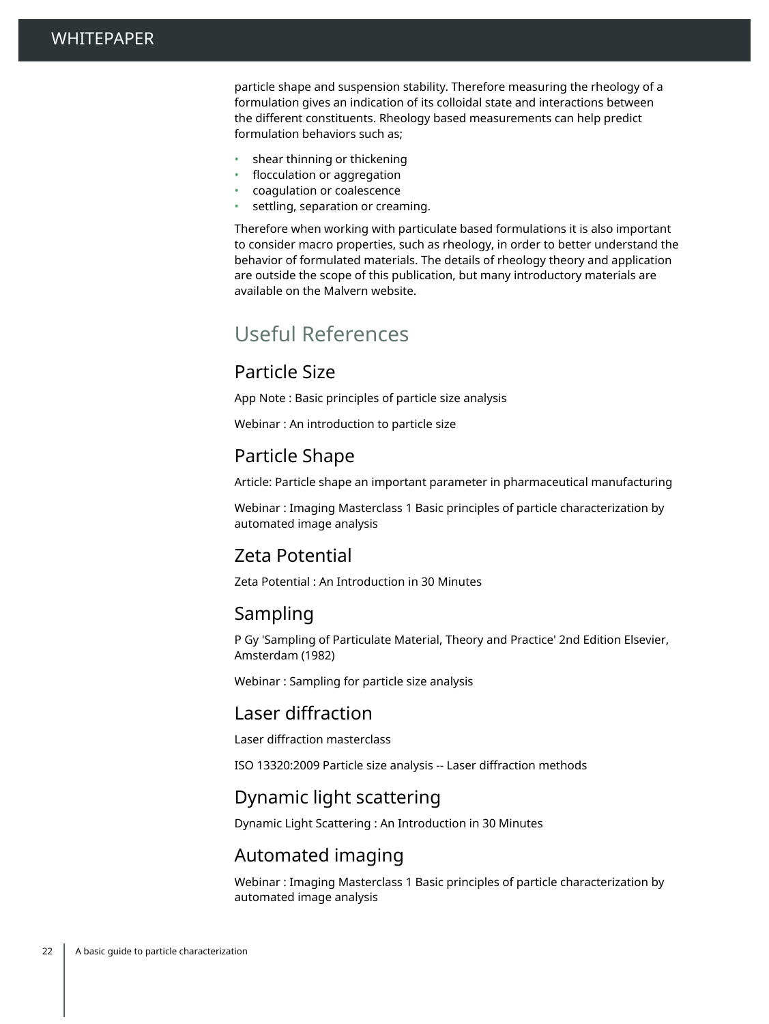particle shape and suspension stability. Therefore measuring the rheology of a formulation gives an indication of its colloidal state and interactions between the different constituents. Rheology based measurements can help predict formulation behaviors such as;

- shear thinning or thickening
- flocculation or aggregation
- coagulation or coalescence
- settling, separation or creaming.

Therefore when working with particulate based formulations it is also important to consider macro properties, such as rheology, in order to better understand the behavior of formulated materials. The details of rheology theory and application are outside the scope of this publication, but many introductory materials are available on the Malvern website.

### Useful References

### Particle Size

App Note : Basic principles of particle size analysis

Webinar : An introduction to particle size

### Particle Shape

Article: Particle shape an important parameter in pharmaceutical manufacturing

Webinar : Imaging Masterclass 1 Basic principles of particle characterization by automated image analysis

### Zeta Potential

Zeta Potential : An Introduction in 30 Minutes

### Sampling

P Gy 'Sampling of Particulate Material, Theory and Practice' 2nd Edition Elsevier, Amsterdam (1982)

Webinar : Sampling for particle size analysis

### Laser diffraction

Laser diffraction masterclass

ISO 13320:2009 Particle size analysis -- Laser diffraction methods

### Dynamic light scattering

Dynamic Light Scattering : An Introduction in 30 Minutes

### Automated imaging

Webinar : Imaging Masterclass 1 Basic principles of particle characterization by automated image analysis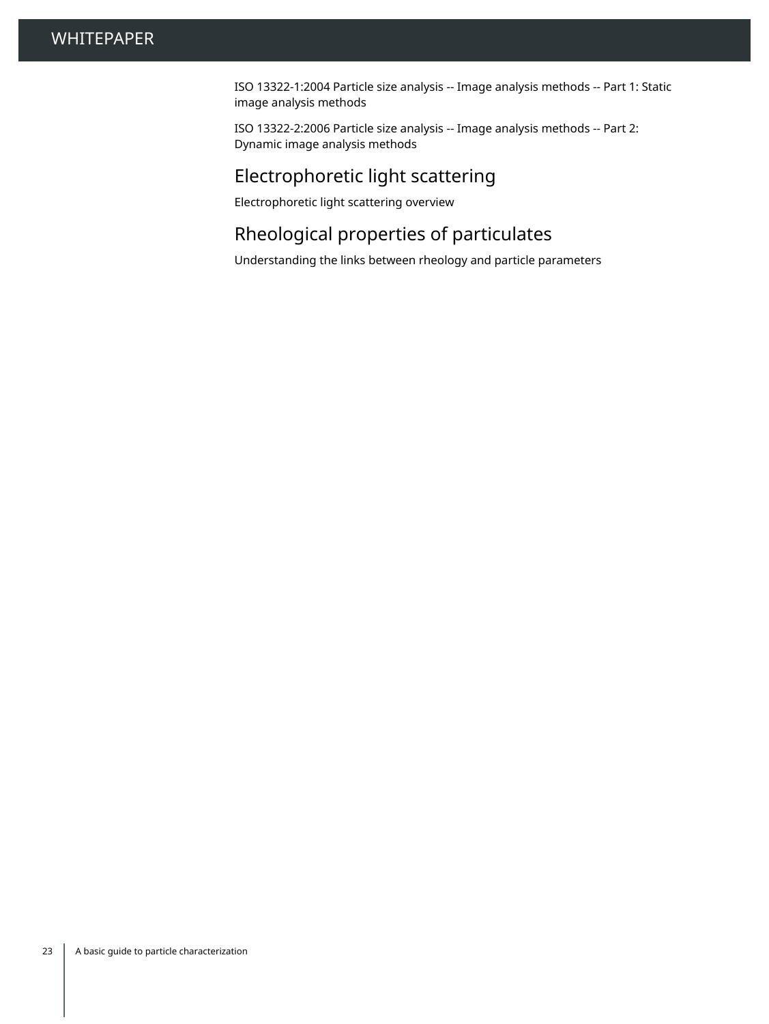ISO 13322-1:2004 Particle size analysis -- Image analysis methods -- Part 1: Static image analysis methods

ISO 13322-2:2006 Particle size analysis -- Image analysis methods -- Part 2: Dynamic image analysis methods

### Electrophoretic light scattering

Electrophoretic light scattering overview

### Rheological properties of particulates

Understanding the links between rheology and particle parameters